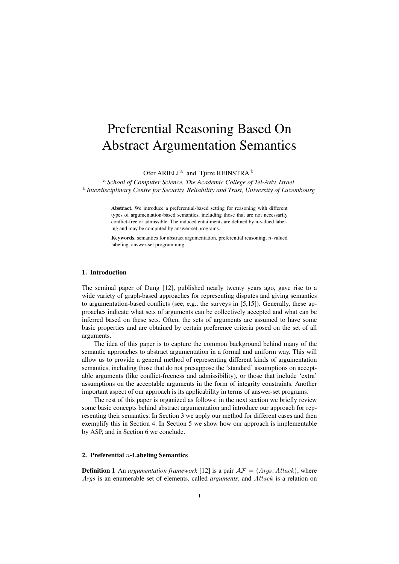# Preferential Reasoning Based On Abstract Argumentation Semantics

Ofer ARIELI<sup>a</sup> and Tjitze REINSTRA<sup>b</sup>

<sup>a</sup> *School of Computer Science, The Academic College of Tel-Aviv, Israel* b *Interdisciplinary Centre for Security, Reliability and Trust, University of Luxembourg*

> Abstract. We introduce a preferential-based setting for reasoning with different types of argumentation-based semantics, including those that are not necessarily conflict-free or admissible. The induced entailments are defined by n-valued labeling and may be computed by answer-set programs.

> Keywords. semantics for abstract argumentation, preferential reasoning, *n*-valued labeling, answer-set programming.

#### 1. Introduction

The seminal paper of Dung [12], published nearly twenty years ago, gave rise to a wide variety of graph-based approaches for representing disputes and giving semantics to argumentation-based conflicts (see, e.g., the surveys in [5,15]). Generally, these approaches indicate what sets of arguments can be collectively accepted and what can be inferred based on these sets. Often, the sets of arguments are assumed to have some basic properties and are obtained by certain preference criteria posed on the set of all arguments.

The idea of this paper is to capture the common background behind many of the semantic approaches to abstract argumentation in a formal and uniform way. This will allow us to provide a general method of representing different kinds of argumentation semantics, including those that do not presuppose the 'standard' assumptions on acceptable arguments (like conflict-freeness and admissibility), or those that include 'extra' assumptions on the acceptable arguments in the form of integrity constraints. Another important aspect of our approach is its applicability in terms of answer-set programs.

The rest of this paper is organized as follows: in the next section we briefly review some basic concepts behind abstract argumentation and introduce our approach for representing their semantics. In Section 3 we apply our method for different cases and then exemplify this in Section 4. In Section 5 we show how our approach is implementable by ASP, and in Section 6 we conclude.

# 2. Preferential *n*-Labeling Semantics

**Definition 1** An *argumentation framework* [12] is a pair  $\mathcal{AF} = \langle \text{Args}, \text{Attack} \rangle$ , where *Args* is an enumerable set of elements, called *arguments*, and *Attack* is a relation on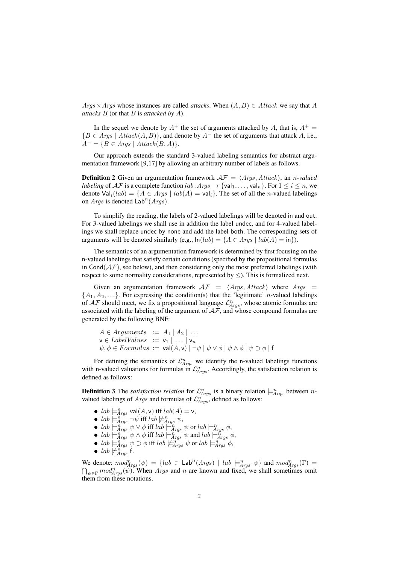$A \, \text{rgs} \times \text{A} \, \text{rgs}$  whose instances are called *attacks*. When  $(A, B) \in \text{At} \, \text{tack}$  we say that *A attacks B* (or that *B* is *attacked by A*).

In the sequel we denote by  $A^+$  the set of arguments attacked by  $A$ , that is,  $A^+$  = *{B ∈ Args | Attack*(*A, B*)*}*, and denote by *A<sup>−</sup>* the set of arguments that attack *A*, i.e.,  $A^{-} = \{B \in \text{Args} \mid \text{Attack}(B, A)\}.$ 

Our approach extends the standard 3-valued labeling semantics for abstract argumentation framework [9,17] by allowing an arbitrary number of labels as follows.

**Definition 2** Given an argumentation framework  $A\mathcal{F} = \langle Args, Attack\rangle$ , an *n*-valued *labeling* of  $AF$  is a complete function *lab*:  $Args \rightarrow \{val_1, \ldots, val_n\}$ . For  $1 \leq i \leq n$ , we denote  $Val_i(lab) = \{A \in Args \mid lab(A) = val_i\}$ . The set of all the *n*-valued labelings on *Args* is denoted  $\text{Lab}^n(Args)$ .

To simplify the reading, the labels of 2-valued labelings will be denoted in and out. For 3-valued labelings we shall use in addition the label undec, and for 4-valued labelings we shall replace undec by none and add the label both. The corresponding sets of arguments will be denoted similarly (e.g.,  $\ln(lab) = \{A \in \text{Arg } | \text{ lab}(A) = \text{in} \}$ ).

The semantics of an argumentation framework is determined by first focusing on the n-valued labelings that satisfy certain conditions (specified by the propositional formulas in Cond $(AF)$ , see below), and then considering only the most preferred labelings (with respect to some normality considerations, represented by *≤*). This is formalized next.

Given an argumentation framework  $AF = \langle Args, Attack \rangle$  where  $Args =$  $\{A_1, A_2, \ldots\}$ . For expressing the condition(s) that the 'legitimate' *n*-valued labelings of  $AF$  should meet, we fix a propositional language  $\mathcal{L}_{Args}^{n}$ , whose atomic formulas are associated with the labeling of the argument of  $A\mathcal{F}$ , and whose compound formulas are generated by the following BNF:

 $A \in Arguments := A_1 | A_2 | \ldots$  $v \in \text{LabelValues} := v_1 | \dots | v_n$  $\psi, \phi \in Formulas := \text{val}(A, \mathbf{v}) \mid \neg \psi \mid \psi \vee \phi \mid \psi \wedge \phi \mid \psi \supset \phi \mid \mathbf{f}$ 

For defining the semantics of  $\mathcal{L}_{A\,rgs}^n$  we identify the n-valued labelings functions with n-valued valuations for formulas in  $\mathcal{L}_{A\,rgs}^n$ . Accordingly, the satisfaction relation is defined as follows:

**Definition 3** The *satisfaction relation* for  $\mathcal{L}_{Args}^n$  is a binary relation  $\models^n_{Args}$  between *n*valued labelings of *Args* and formulas of  $\mathcal{L}_{A<sub>rgs</sub>}^{n}$ , defined as follows:

- $lab \models^n_{Args} \text{val}(A, \mathsf{v}) \text{ iff } lab(A) = \mathsf{v},$
- *lab*  $\models^n_{Args} \neg \psi$  iff *lab*  $\nvdash^n_{Args} \psi$ ,
- $lab \models^n_{Args} \psi \lor \phi \text{ iff } lab \models^n_{Args} \psi \text{ or } lab \models^n_{Args} \phi$ ,
- $lab \models^n_{Args} \psi \land \phi \text{ iff } lab \models^n_{Args} \psi \text{ and } lab \models^{\tilde{n}}_{Args} \phi$ ,
- $lab \models^n_{Args} \psi \supset \phi$  iff  $lab \not\models^n_{Args} \psi$  or  $lab \models^n_{Args} \phi$ ,
- $lab \not\models^n_{Args}$  f.

We denote:  $mod_{Args}^{n}(\psi) = \{lab \in Lab^{n}(Args) \mid lab \models_{Args}^{n} \psi\}$  and  $mod_{Args}^{n}(\Gamma) =$  $\bigcap_{\psi \in \Gamma} mod^n_{Args}(\psi)$ . When *Args* and *n* are known and fixed, we shall sometimes omit them from these notations.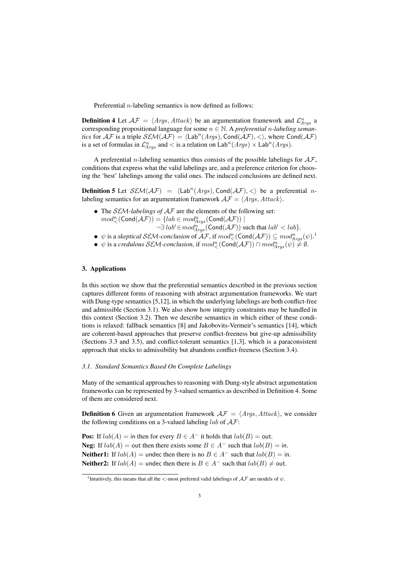Preferential *n*-labeling semantics is now defined as follows:

**Definition 4** Let  $AF = \langle Args, Attack \rangle$  be an argumentation framework and  $\mathcal{L}_{Args}^{n}$  a corresponding propositional language for some *n ∈* N. A *preferential n-labeling semantics* for  $A\mathcal{F}$  is a triple  $\mathcal{SEM}(A\mathcal{F}) = \langle \text{Lab}^n(A\mathit{rgs}), \text{Cond}(A\mathcal{F}), \langle \rangle$ , where  $\text{Cond}(A\mathcal{F})$ is a set of formulas in  $\mathcal{L}_{Args}^n$  and  $\lt$  is a relation on  $\text{Lab}^n(Args) \times \text{Lab}^n(Args)$ .

A preferential *n*-labeling semantics thus consists of the possible labelings for *AF*, conditions that express what the valid labelings are, and a preference criterion for choosing the 'best' labelings among the valid ones. The induced conclusions are defined next.

**Definition 5** Let  $\mathcal{SEM}(\mathcal{AF}) = \langle \text{Lab}^n(\text{A}rgs), \text{Cond}(\mathcal{AF}), \langle \rangle$  be a preferential *n*labeling semantics for an argumentation framework  $\mathcal{AF} = \langle \textit{Args}, \textit{Attack} \rangle$ .

- *•* The *SEM-labelings of AF* are the elements of the following set:  $mod^n_{\leq}(\mathsf{Cond}(\mathcal{AF})) = \{lab \in mod^n_{Arys}(\mathsf{Cond}(\mathcal{AF})) \mid$  $\neg \exists$  *lab<sup><i>′*</sup> ∈ *mod*<sub>*Args*</sub> (Cond(*AF*)) such that *lab'* < *lab*}.
- $\psi$  is a *skeptical SEM-conclusion* of *AF*, if  $mod^n_\prec(\text{Cond}(\mathcal{AF})) \subseteq mod^n_{Args}(\psi)$ .<sup>1</sup>
- *•*  $\psi$  is a *credulous SEM-conclusion*, if  $mod_{\lt}^n(\textsf{Cond}(\mathcal{AF})) \cap mod_{Args}^n(\psi) \neq \emptyset$ .

# 3. Applications

In this section we show that the preferential semantics described in the previous section captures different forms of reasoning with abstract argumentation frameworks. We start with Dung-type semantics [5,12], in which the underlying labelings are both conflict-free and admissible (Section 3.1). We also show how integrity constraints may be handled in this context (Section 3.2). Then we describe semantics in which either of these conditions is relaxed: fallback semantics [8] and Jakobovits-Vermeir's semantics [14], which are coherent-based approaches that preserve conflict-freeness but give-up admissibility (Sections 3.3 and 3.5), and conflict-tolerant semantics [1,3], which is a paraconsistent approach that sticks to admissibility but abandons conflict-freeness (Section 3.4).

# *3.1. Standard Semantics Based On Complete Labelings*

Many of the semantical approaches to reasoning with Dung-style abstract argumentation frameworks can be represented by 3-valued semantics as described in Definition 4. Some of them are considered next.

**Definition 6** Given an argumentation framework  $A\mathcal{F} = \langle \text{Arg} \rangle$ , *Attack* $\rangle$ , we consider the following conditions on a 3-valued labeling *lab* of *AF*:

**Pos:** If  $lab(A) =$  in then for every  $B \in A^-$  it holds that  $lab(B) =$  out. Neg: If  $lab(A) =$  out then there exists some  $B \in A^-$  such that  $lab(B) =$  in. Neither1: If  $lab(A)$  = undec then there is no  $B \in A^-$  such that  $lab(B)$  = in. Neither2: If  $lab(A)$  = undec then there is  $B \in A^-$  such that  $lab(B) \neq$  out.

<sup>1</sup> Intuitively, this means that all the *<*-most preferred valid labelings of *AF* are models of *ψ*.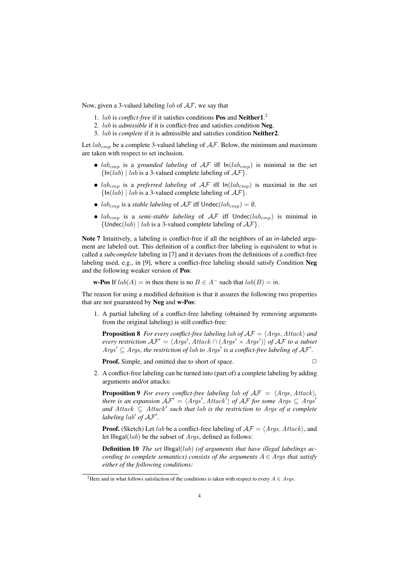Now, given a 3-valued labeling *lab* of *AF*, we say that

- 1. *lab* is *conflict-free* if it satisfies conditions Pos and Neither1. 2
- 2. *lab* is *admissible* if it is conflict-free and satisfies condition Neg.
- 3. *lab* is *complete* if it is admissible and satisfies condition Neither2.

Let  $lab_{cmp}$  be a complete 3-valued labeling of  $AF$ . Below, the minimum and maximum are taken with respect to set inclusion.

- *lab<sub>cmp</sub>* is a *grounded labeling* of  $AF$  iff  $ln(lab_{cmp})$  is minimal in the set *{*In(*lab*) *| lab* is a 3-valued complete labeling of *AF}*.
- *lab<sub>cmp</sub>* is a *preferred labeling* of  $AF$  iff  $ln(lab_{cmp})$  is maximal in the set *{*In(*lab*) *| lab* is a 3-valued complete labeling of *AF}*.
- *lab<sub>cmp</sub>* is a *stable labeling* of  $AF$  iff Undec( $lab_{cmp}$ ) =  $\emptyset$ .
- $lab_{cmp}$  is a *semi-stable labeling* of  $AF$  iff Undec( $lab_{cmp}$ ) is minimal in *{*Undec(*lab*) *| lab* is a 3-valued complete labeling of *AF}*.

Note 7 Intuitively, a labeling is conflict-free if all the neighbors of an in-labeled argument are labeled out. This definition of a conflict-free labeling is equivalent to what is called a *subcomplete* labeling in [7] and it deviates from the definitions of a conflict-free labeling used, e.g., in [9], where a conflict-free labeling should satisfy Condition Neg and the following weaker version of Pos:

**w-Pos** If  $lab(A) =$  in then there is no  $B \in A^-$  such that  $lab(B) =$  in.

The reason for using a modified definition is that it assures the following two properties that are not guaranteed by Neg and w-Pos:

1. A partial labeling of a conflict-free labeling (obtained by removing arguments from the original labeling) is still conflict-free:

**Proposition 8** *For every conflict-free labeling lab of*  $AF = \langle Args, Attack \rangle$  *and every restriction*  $\mathcal{AF}' = \langle \textit{Args}', \textit{Attack} \cap (\textit{Args}' \times \textit{Args}') \rangle$  of  $\mathcal{AF}$  to a subset *Args<sup>* $'$ *</sup>*  $\subseteq$  *<i>Args*, the restriction of lab to *Args<sup>'</sup>* is a conflict-free labeling of  $\mathcal{AF}'$ .

**Proof.** Simple, and omitted due to short of space. □

2. A conflict-free labeling can be turned into (part of) a complete labeling by adding arguments and/or attacks:

**Proposition 9** For every conflict-free labeling lab of  $AF = \langle Args, Attack\rangle$ , *there is an expansion*  $\mathcal{AF}' = \langle \textit{Args}', \textit{Attack}' \rangle$  *of*  $\mathcal{AF}$  *for some*  $\textit{Args} \subseteq \textit{Args}'$ *and Attack ⊆ Attack′ such that lab is the restriction to Args of a complete labeling lab′ of AF′ .*

**Proof.** (Sketch) Let *lab* be a conflict-free labeling of  $AF = \langle Args, Attack \rangle$ , and let Illegal(*lab*) be the subset of *Args*, defined as follows:

Definition 10 *The set* Illegal(*lab*) *(of arguments that have illegal labelings according to complete semantics) consists of the arguments*  $A \in \text{Args}$  *that satisfy either of the following conditions:*

<sup>&</sup>lt;sup>2</sup>Here and in what follows satisfaction of the conditions is taken with respect to every  $A \in \text{A} \text{rg} s$ .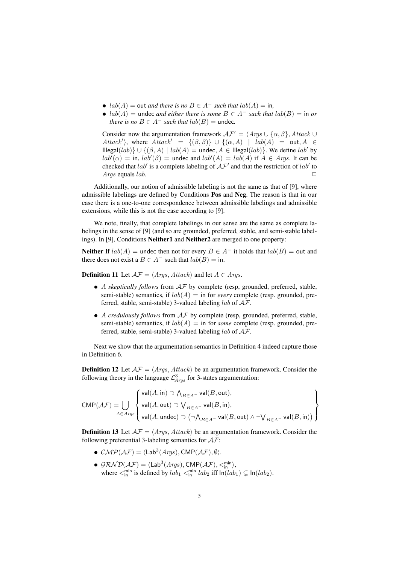- $lab(A) =$  out *and there is no*  $B \in A^-$  *such that*  $lab(A) =$  in,
- $lab(A) =$  undec *and either there is some*  $B \in A^-$  *such that*  $lab(B) =$  in *or there is no*  $B \in A^-$  *such that*  $lab(B) =$  undec.

Consider now the argumentation framework  $AF' = \langle Args \cup \{\alpha, \beta\}, Attack \cup$ *Attack'*), where  $Attack' = \{(\beta, \beta)\} \cup \{(\alpha, A) | | lab(A) = out, A \in$ Illegal(*lab*)*} ∪ {*(*β, A*) *| lab*(*A*) = undec*, A ∈* Illegal(*lab*)*}*. We define *lab′* by  $lab'(\alpha) = \text{in}, \, lab'(\beta) = \text{undec} \, \text{and} \, lab'(A) = lab(A) \, \text{if } A \in \text{A} \text{rgs}.$  It can be checked that *lab′* is a complete labeling of *AF′* and that the restriction of *lab′* to *Args* equals *lab*.

Additionally, our notion of admissible labeling is not the same as that of [9], where admissible labelings are defined by Conditions Pos and Neg. The reason is that in our case there is a one-to-one correspondence between admissible labelings and admissible extensions, while this is not the case according to [9].

We note, finally, that complete labelings in our sense are the same as complete labelings in the sense of [9] (and so are grounded, preferred, stable, and semi-stable labelings). In [9], Conditions Neither1 and Neither2 are merged to one property:

Neither If  $lab(A)$  = undec then not for every  $B \in A^-$  it holds that  $lab(B)$  = out and there does not exist a  $B \in A^-$  such that  $lab(B) = \text{in}$ .

**Definition 11** Let  $AF = \langle Args, Attack \rangle$  and let  $A \in Args$ .

- *• A skeptically follows* from *AF* by complete (resp, grounded, preferred, stable, semi-stable) semantics, if  $lab(A) =$  in for *every* complete (resp. grounded, preferred, stable, semi-stable) 3-valued labeling *lab* of *AF*.
- *• A credulously follows* from *AF* by complete (resp, grounded, preferred, stable, semi-stable) semantics, if  $lab(A) =$  in for *some* complete (resp. grounded, preferred, stable, semi-stable) 3-valued labeling *lab* of *AF*.

Next we show that the argumentation semantics in Definition 4 indeed capture those in Definition 6.

**Definition 12** Let  $A\mathcal{F} = \langle \text{Args}, \text{Attack} \rangle$  be an argumentation framework. Consider the following theory in the language  $\mathcal{L}_{A\gamma gs}^3$  for 3-states argumentation:

$$
\text{CMP}(\mathcal{AF}) = \bigcup_{A \in \mathit{Args}} \left\{ \begin{aligned} &\text{val}(A,\text{in}) \supset \bigwedge_{B \in A^-} \text{val}(B,\text{out}), \\ &\text{val}(A,\text{out}) \supset \bigvee_{B \in A^-} \text{val}(B,\text{in}), \\ &\text{val}(A,\text{undec}) \supset \big(\neg \bigwedge_{B \in A^-} \text{val}(B,\text{out}) \wedge \neg \bigvee_{B \in A^-} \text{val}(B,\text{in}) \big) \end{aligned} \right\}
$$

**Definition 13** Let  $\mathcal{AF} = \langle \mathcal{A} \mathcal{TB}, \mathcal{A} \mathcal{H} \mathcal{A} \mathcal{B} \rangle$  be an argumentation framework. Consider the following preferential 3-labeling semantics for *AF*:

- $\mathcal{CMP}(\mathcal{AF}) = \langle \mathsf{Lab}^3(\mathit{Args}), \mathsf{CMP}(\mathcal{AF}), \emptyset \rangle$ .
- $GRND(\mathcal{AF}) = \langle \text{Lab}^3(Args), \text{CMP}(\mathcal{AF}), \langle \zeta_{\text{in}}^{\text{min}} \rangle,$ where  $\leq_{\text{in}}^{\text{min}}$  is defined by  $lab_1 \leq_{\text{in}}^{\text{min}} lab_2$  iff  $\ln(lab_1) \subsetneq \ln(lab_2)$ .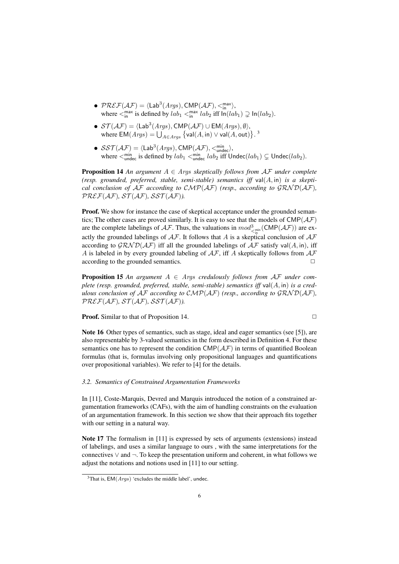- $\mathcal{PREF}(\mathcal{AF}) = \langle \mathsf{Lab}^3(\mathit{Args}), \mathsf{CMP}(\mathcal{AF}), \leq^{\max}_{\mathsf{in}} \rangle,$ where  $\langle \zeta_{\mathsf{in}}^{\mathsf{max}}$  is defined by  $lab_1 \langle \zeta_{\mathsf{in}}^{\mathsf{max}} lab_2 \text{ iff } \mathsf{In}(lab_1) \supsetneq \mathsf{In}(lab_2)$ .
- *• ST* (*AF*) = *⟨*Lab<sup>3</sup> (*Args*)*,* CMP(*AF*) *∪* EM(*Args*)*, ∅⟩*, where  $EM(Args) = \bigcup_{A \in Args} {\text{val}(A,in) \vee \text{val}(A,out)}$ .<sup>3</sup>
- $\mathcal{SST}(\mathcal{AF}) = \langle \mathsf{Lab}^3(\mathit{Args}), \mathsf{CMP}(\mathcal{AF}), \langle \mathsf{min}_{\mathsf{under}} \rangle,$ where  $\leq_{\text{undec}}^{\text{min}}$  is defined by  $lab_1 \leq_{\text{undec}}^{\text{min}} lab_2$  iff  $\text{Under}(lab_1) \subsetneq \text{Under}(lab_2)$ .

**Proposition 14** An argument  $A \in \text{Args}$  skeptically follows from  $\mathcal{AF}$  under complete *(resp. grounded, preferred, stable, semi-stable) semantics iff* val(*A,* in) *is a skeptical conclusion of*  $AF$  *according to*  $\mathcal{CMP}(AF)$  *(resp., according to*  $\mathcal{GRND}(AF)$ *),*  $PREF(AF), ST(AF), SST(AF)$ 

**Proof.** We show for instance the case of skeptical acceptance under the grounded semantics; The other cases are proved similarly. It is easy to see that the models of CMP(*AF*) are the complete labelings of  $A\mathcal{F}$ . Thus, the valuations in  $mod_{\leq_{\sf inn}}^3(\mathsf{CMP}(\mathcal{AF}))$  are exactly the grounded labelings of *AF*. It follows that *A* is a skeptical conclusion of *AF* according to  $\mathcal{GRND}(\mathcal{AF})$  iff all the grounded labelings of  $\mathcal{AF}$  satisfy val( $A$ , in), iff *A* is labeled in by every grounded labeling of *AF*, iff *A* skeptically follows from *AF* according to the grounded semantics.  $\Box$ 

**Proposition 15** *An argument*  $A \in \text{Args}$  *credulously follows from*  $\mathcal{AF}$  *under complete (resp. grounded, preferred, stable, semi-stable) semantics iff* val(*A,* in) *is a credulous conclusion of*  $AF$  *according to*  $CMP(AF)$  *(resp., according to*  $GRND(AF)$ *,*  $PREF(AF), ST(AF), SST(AF)$ 

**Proof.** Similar to that of Proposition 14.

$$
\sqsupset
$$

Note 16 Other types of semantics, such as stage, ideal and eager semantics (see [5]), are also representable by 3-valued semantics in the form described in Definition 4. For these semantics one has to represent the condition  $\text{CMP}(\mathcal{AF})$  in terms of quantified Boolean formulas (that is, formulas involving only propositional languages and quantifications over propositional variables). We refer to [4] for the details.

## *3.2. Semantics of Constrained Argumentation Frameworks*

In [11], Coste-Marquis, Devred and Marquis introduced the notion of a constrained argumentation frameworks (CAFs), with the aim of handling constraints on the evaluation of an argumentation framework. In this section we show that their approach fits together with our setting in a natural way.

Note 17 The formalism in [11] is expressed by sets of arguments (extensions) instead of labelings, and uses a similar language to ours , with the same interpretations for the connectives *∨* and *¬*. To keep the presentation uniform and coherent, in what follows we adjust the notations and notions used in [11] to our setting.

 $3$ That is,  $EM(Args)$  'excludes the middle label', undec.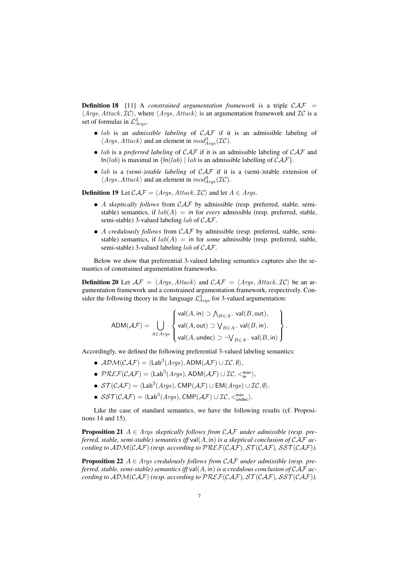Definition 18 [11] A *constrained argumentation framework* is a triple *CAF* = *⟨Args, Attack, IC⟩*, where *⟨Args, Attack⟩* is an argumentation framework and *IC* is a set of formulas in  $\mathcal{L}^3_{Args}$ .

- *• lab* is an *admissible labeling* of *CAF* if it is an admissible labeling of  $\langle Args, Attack\rangle$  and an element in  $mod_{Args}^3(\mathcal{IC})$ .
- *• lab* is a *preferred labeling* of *CAF* if it is an admissible labeling of *CAF* and In(*lab*) is maximal in *{*In(*lab*) *| lab* is an admissible labelling of *CAF}*.
- *• lab* is a *(semi-)stable labeling* of *CAF* if it is a (semi-)stable extension of  $\langle Args, Attack \rangle$  and an element in  $mod_{Args}^3(\mathcal{IC})$ .

**Definition 19** Let  $\mathcal{CAF} = \langle \text{Args}, \text{Attack}, \text{IC} \rangle$  and let  $A \in \text{Args}$ .

- *• A skeptically follows* from *CAF* by admissible (resp. preferred, stable, semistable) semantics, if  $lab(A) =$  in for *every* admissible (resp. preferred, stable, semi-stable) 3-valued labeling *lab* of *CAF*.
- *• A credulously follows* from *CAF* by admissible (resp. preferred, stable, semistable) semantics, if  $lab(A) =$  in for *some* admissible (resp. preferred, stable, semi-stable) 3-valued labeling *lab* of *CAF*.

Below we show that preferential 3-valued labeling semantics captures also the semantics of constrained argumentation frameworks.

**Definition 20** Let  $\mathcal{AF} = \langle \text{Args}, \text{Attack} \rangle$  and  $\mathcal{CAT} = \langle \text{Args}, \text{Attack}, \text{IC} \rangle$  be an argumentation framework and a constrained argumentation framework, respectively. Consider the following theory in the language  $\mathcal{L}_{A\gamma gs}^3$  for 3-valued argumentation:

$$
\mathsf{ADM}(\mathcal{AF}) = \bigcup_{A \in \mathit{A} \mathit{rgs}} \left\{ \begin{aligned} &\mathsf{val}(A,\mathsf{in}) \supset \bigwedge_{B \in A^-} \mathsf{val}(B,\mathsf{out}), \\ &\mathsf{val}(A,\mathsf{out}) \supset \bigvee_{B \in A^-} \mathsf{val}(B,\mathsf{in}), \\ &\mathsf{val}(A,\mathsf{undec}) \supset \neg \bigvee_{B \in A^-} \mathsf{val}(B,\mathsf{in}) \end{aligned} \right\}.
$$

Accordingly, we defined the following preferential 3-valued labeling semantics:

- $\bullet$  *ADM*(*CAF*) =  $\langle \text{Lab}^3(Args), \text{ADM}(A\mathcal{F}) \cup \mathcal{IC}, \emptyset \rangle$ ,
- $\mathcal{PREF}(\mathcal{CAT}) = \langle \mathsf{Lab}^3(\mathit{Args}), \mathsf{ADM}(\mathcal{AF}) \cup \mathcal{IC}, \langle \mathsf{max}^{\mathsf{max}} \rangle,$
- $\bullet$  *ST*(*CAF*) =  $\langle \text{Lab}^3(A\textit{rgs}), \text{CMP}(\mathcal{AF}) \cup \text{EM}(A\textit{rgs}) \cup \mathcal{IC}, \emptyset \rangle$ .
- $\mathcal{SST}(\mathcal{CAF}) = \langle \text{Lab}^3(Args), \text{CMP}(\mathcal{AF}) \cup \mathcal{IC}, \langle \text{min}_{\text{undec}} \rangle.$

Like the case of standard semantics, we have the following results (cf. Propositions 14 and 15).

**Proposition 21**  $A \in \text{Args}$  skeptically follows from  $\mathcal{CAF}$  under admissible (resp. pre*ferred, stable, semi-stable) semantics iff* val(*A,* in) *is a skeptical conclusion of CAF according to*  $ADM(CAF)$  *(resp. according to*  $PREF(CAF)$ *,*  $ST(CAF)$ *,*  $SST(CAF)$ *).* 

Proposition 22 *A ∈ Args credulously follows from CAF under admissible (resp. preferred, stable, semi-stable) semantics iff* val(*A,* in) *is a credulous conclusion of CAF according to*  $ADM(CAF)$  *(resp. according to*  $PREF(CAF)$ *,*  $ST(CAF)$ *,*  $SST(CAF)$ *).*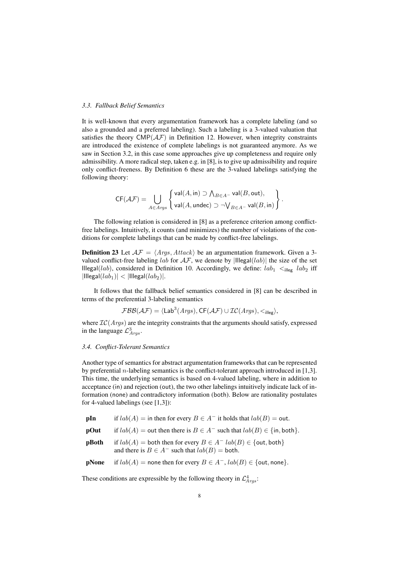# *3.3. Fallback Belief Semantics*

It is well-known that every argumentation framework has a complete labeling (and so also a grounded and a preferred labeling). Such a labeling is a 3-valued valuation that satisfies the theory  $\text{CMP}(\mathcal{AF})$  in Definition 12. However, when integrity constraints are introduced the existence of complete labelings is not guaranteed anymore. As we saw in Section 3.2, in this case some approaches give up completeness and require only admissibility. A more radical step, taken e.g. in [8], is to give up admissibility and require only conflict-freeness. By Definition 6 these are the 3-valued labelings satisfying the following theory:

$$
\mathsf{CF}(\mathcal{AF}) = \bigcup_{A \in \mathit{Arys}} \left\{ \begin{aligned} &\mathsf{val}(A,\mathsf{in}) \supset \bigwedge_{B \in A^-} \mathsf{val}(B,\mathsf{out}), \\ &\mathsf{val}(A,\mathsf{undec}) \supset \neg \bigvee_{B \in A^-} \mathsf{val}(B,\mathsf{in}) \end{aligned} \right\}.
$$

The following relation is considered in [8] as a preference criterion among conflictfree labelings. Intuitively, it counts (and minimizes) the number of violations of the conditions for complete labelings that can be made by conflict-free labelings.

**Definition 23** Let  $AF = \langle Args, Attack \rangle$  be an argumentation framework. Given a 3valued conflict-free labeling  $lab$  for  $AF$ , we denote by  $|I| \leq |I| \leq |I| \leq 1$  and  $I$ Illegal(*lab*), considered in Definition 10. Accordingly, we define:  $lab_1 \lt_{\text{idle}} lab_2$  iff  $|$ Illegal $(lab_1)|$  <  $|$ Illegal $(lab_2)|$ .

It follows that the fallback belief semantics considered in [8] can be described in terms of the preferential 3-labeling semantics

$$
\mathcal{FBB}(\mathcal{AF}) = \langle \mathsf{Lab}^3(\mathit{Args}), \mathsf{CF}(\mathcal{AF}) \cup \mathcal{IC}(\mathit{Args}), \mathsf{L}_\mathsf{illes} \rangle,
$$

where *IC*(*Args*) are the integrity constraints that the arguments should satisfy, expressed in the language  $\mathcal{L}^3_{Args}$ .

#### *3.4. Conflict-Tolerant Semantics*

Another type of semantics for abstract argumentation frameworks that can be represented by preferential *n*-labeling semantics is the conflict-tolerant approach introduced in [1,3]. This time, the underlying semantics is based on 4-valued labeling, where in addition to acceptance (in) and rejection (out), the two other labelings intuitively indicate lack of information (none) and contradictory information (both). Below are rationality postulates for 4-valued labelings (see [1,3]):

| pIn   | if $lab(A) =$ in then for every $B \in A^-$ it holds that $lab(B) =$ out.                                                        |  |  |  |  |  |
|-------|----------------------------------------------------------------------------------------------------------------------------------|--|--|--|--|--|
| pOut  | if $lab(A) =$ out then there is $B \in A^-$ such that $lab(B) \in \{\text{in}, \text{both}\}.$                                   |  |  |  |  |  |
| pBoth | if $lab(A)$ = both then for every $B \in A^ lab(B) \in \{$ out, both $\}$<br>and there is $B \in A^-$ such that $lab(B) =$ both. |  |  |  |  |  |
| pNone | if $lab(A)$ = none then for every $B \in A^-$ , $lab(B) \in \{out, none\}$ .                                                     |  |  |  |  |  |

These conditions are expressible by the following theory in  $\mathcal{L}^4_{Args}$ :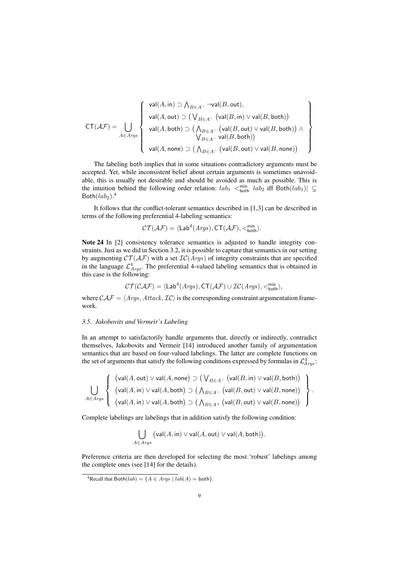$$
\text{CT}(\mathcal{AF}) = \bigcup_{A \in \mathit{Arys}} \left\{\begin{array}{l} \mathsf{val}(A, \mathsf{in}) \supset \bigwedge_{B \in A^-} \neg \mathsf{val}(B, \mathsf{out}), \\ \mathsf{val}(A, \mathsf{out}) \supset \big(\bigvee_{B \in A^-} \big(\mathsf{val}(B, \mathsf{in}) \vee \mathsf{val}(B, \mathsf{both})\big) \\ \mathsf{val}(A, \mathsf{both}) \supset \big(\bigwedge_{B \in A^-} \big(\mathsf{val}(B, \mathsf{out}) \vee \mathsf{val}(B, \mathsf{both})\big) \wedge \\ \mathsf{Val}(A, \mathsf{none}) \supset \big(\bigwedge_{B \in A^-} \big(\mathsf{val}(B, \mathsf{out}) \vee \mathsf{val}(B, \mathsf{none})\big) \end{array}\right\}
$$

The labeling both implies that in some situations contradictory arguments must be accepted. Yet, while inconsistent belief about certain arguments is sometimes unavoidable, this is usually not desirable and should be avoided as much as possible. This is the intuition behind the following order relation:  $lab_1 <sup>min</sup>_{both} lab_2$  iff Both $(lab_1)$   $\subsetneq$  $Both(lab<sub>2</sub>)$ .<sup>4</sup>

It follows that the conflict-tolerant semantics described in [1,3] can be described in terms of the following preferential 4-labeling semantics:

$$
\mathcal{CT}(\mathcal{AF})=\langle \mathsf{Lab}^4(\mathit{Args}),\mathsf{CT}(\mathcal{AF}),<^{\min}_{\mathsf{both}}\rangle.
$$

Note 24 In [2] consistency tolerance semantics is adjusted to handle integrity constraints. Just as we did in Section 3.2, it is possible to capture that semantics in our setting by augmenting  $\mathcal{CT}(\mathcal{AF})$  with a set  $\mathcal{IC}(Args)$  of integrity constraints that are specified in the language  $\mathcal{L}^4_{Args}$ . The preferential 4-valued labeling semantics that is obtained in this case is the following:

$$
\mathcal{CT}(\mathcal{CAT}) = \langle \mathsf{Lab}^4(A\mathit{rgs}), \mathsf{CT}(\mathcal{AF}) \cup \mathcal{IC}(A\mathit{rgs}), \mathbf{<}_{\mathsf{both}}^{\min} \rangle,
$$

where  $\mathcal{CAF} = \langle \text{Args}, \text{Attack}, \text{IC} \rangle$  is the corresponding constraint argumentation framework.

## *3.5. Jakobovits and Vermeir's Labeling*

In an attempt to satisfactorily handle arguments that, directly or indirectly, contradict themselves, Jakobovits and Vermeir [14] introduced another family of argumentation semantics that are based on four-valued labelings. The latter are complete functions on the set of arguments that satisfy the following conditions expressed by formulas in  $\mathcal{L}^4_{Args}$ :

$$
\bigcup_{A \in \mathit{Arys}}\left\{\begin{array}{l}\big(\mathsf{val}(A,\mathsf{out}) \vee \mathsf{val}(A,\mathsf{none}) \supset \big(\bigvee_{B \in A^-} \big(\mathsf{val}(B,\mathsf{in}) \vee \mathsf{val}(B,\mathsf{both})\big)\\ \big(\mathsf{val}(A,\mathsf{in}) \vee \mathsf{val}(A,\mathsf{both}) \supset \big(\bigwedge_{B \in A^-} \big(\mathsf{val}(B,\mathsf{out}) \vee \mathsf{val}(B,\mathsf{none})\big)\end{array}\right\}.
$$

Complete labelings are labelings that in addition satisfy the following condition:

$$
\bigcup_{A\in Args} \big(\mathsf{val}(A,\mathsf{in}) \vee \mathsf{val}(A,\mathsf{out}) \vee \mathsf{val}(A,\mathsf{both})\big).
$$

Preference criteria are then developed for selecting the most 'robust' labelings among the complete ones (see [14] for the details).

 ${}^{4}$ Recall that Both $(lab) = \{A \in Args \mid lab(A) = \text{both}\}.$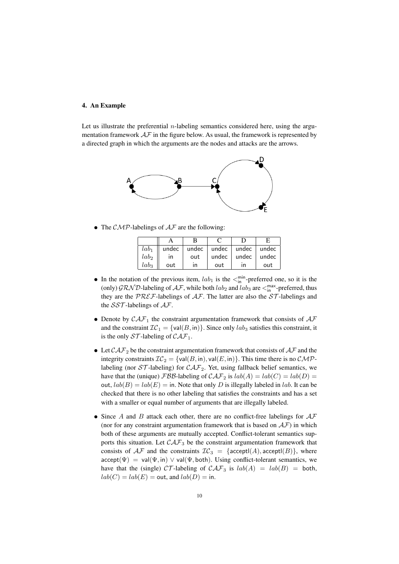# 4. An Example

Let us illustrate the preferential  $n$ -labeling semantics considered here, using the argumentation framework  $A\mathcal{F}$  in the figure below. As usual, the framework is represented by a directed graph in which the arguments are the nodes and attacks are the arrows.



*•* The *CMP*-labelings of *AF* are the following:

| lab <sub>1</sub> | undec |     |       | undec $ $ undec $ $ undec $ $ undec |       |
|------------------|-------|-----|-------|-------------------------------------|-------|
| lab <sub>2</sub> | ın    | out | undec | undec $\vert$                       | undec |
| lab <sub>3</sub> | out   | ın  | out   | ın                                  | out   |

- In the notation of the previous item,  $lab_1$  is the  $\leq_{\text{in}}^{\text{min}}$ -preferred one, so it is the (only)  $\mathcal{GRND}$ -labeling of  $\mathcal{AF}$ , while both  $lab_2$  and  $lab_3$  are  $\leq_{\text{in}}^{\text{max}}$ -preferred, thus they are the *PREF*-labelings of *AF*. The latter are also the *ST* -labelings and the *SST* -labelings of *AF*.
- *•* Denote by *CAF*<sup>1</sup> the constraint argumentation framework that consists of *AF* and the constraint  $IC_1 = \{val(B, in)\}\$ . Since only  $lab_3$  satisfies this constraint, it is the only  $ST$ -labeling of  $CAT_1$ .
- Let  $\mathcal{CAF}_2$  be the constraint argumentation framework that consists of  $\mathcal{AF}$  and the integrity constraints  $IC_2 = \{val(B, in), val(E, in)\}$ . This time there is no *CMP*labeling (nor  $ST$ -labeling) for  $CAT_2$ . Yet, using fallback belief semantics, we have that the (unique) *FBB*-labeling of  $\mathcal{CAF}_2$  is  $lab(A) = lab(C) = lab(D)$ out,  $lab(B) = lab(E) =$  in. Note that only *D* is illegally labeled in *lab*. It can be checked that there is no other labeling that satisfies the constraints and has a set with a smaller or equal number of arguments that are illegally labeled.
- *•* Since *A* and *B* attack each other, there are no conflict-free labelings for *AF* (nor for any constraint argumentation framework that is based on  $AF$ ) in which both of these arguments are mutually accepted. Conflict-tolerant semantics supports this situation. Let  $\mathcal{CAF}_3$  be the constraint argumentation framework that consists of  $AF$  and the constraints  $TC_3 = \{ \text{acceptl}(A), \text{acceptl}(B) \}$ , where  $\text{accept}(\Psi) = \text{val}(\Psi, \text{in}) \lor \text{val}(\Psi, \text{both})$ . Using conflict-tolerant semantics, we have that the (single)  $CT$ -labeling of  $CAT_3$  is  $lab(A) = lab(B) = both$ ,  $lab(C) = lab(E) = \text{out}$ , and  $lab(D) = \text{in}$ .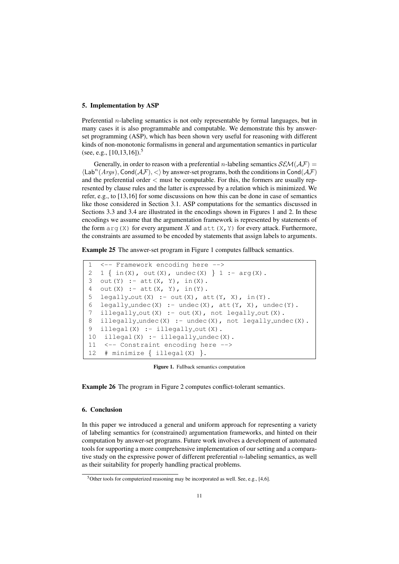# 5. Implementation by ASP

Preferential *n*-labeling semantics is not only representable by formal languages, but in many cases it is also programmable and computable. We demonstrate this by answerset programming (ASP), which has been shown very useful for reasoning with different kinds of non-monotonic formalisms in general and argumentation semantics in particular (see, e.g.,  $[10,13,16]$ ).<sup>5</sup>

Generally, in order to reason with a preferential *n*-labeling semantics  $\mathcal{SEM}(\mathcal{AF})$  = *⟨*Lab*<sup>n</sup>* (*Args*)*,* Cond(*AF*)*, <⟩* by answer-set programs, both the conditions in Cond(*AF*) and the preferential order *<* must be computable. For this, the formers are usually represented by clause rules and the latter is expressed by a relation which is minimized. We refer, e.g., to [13,16] for some discussions on how this can be done in case of semantics like those considered in Section 3.1. ASP computations for the semantics discussed in Sections 3.3 and 3.4 are illustrated in the encodings shown in Figures 1 and 2. In these encodings we assume that the argumentation framework is represented by statements of the form  $\arg(X)$  for every argument X and  $\det(X, Y)$  for every attack. Furthermore, the constraints are assumed to be encoded by statements that assign labels to arguments.

Example 25 The answer-set program in Figure 1 computes fallback semantics.

1 <-- Framework encoding here --> 2 1 *{* in(X), out(X), undec(X) *}* 1 :- arg(X). 3 out(Y) :-  $att(X, Y)$ ,  $in(X)$ . 4 out  $(X)$  : - att  $(X, Y)$ , in $(Y)$ . 5 legally\_out(X) :- out(X),  $att(Y, X)$ ,  $in(Y)$ . 6 legally\_undec(X) :- undec(X),  $\text{att}(Y, X)$ , undec(Y). 7 illegally\_out(X) :- out(X), not legally\_out(X). 8 illegally\_undec(X) :- undec(X), not legally\_undec(X). 9 illegal(X) :- illegally\_out(X). 10 illegal(X) :- illegally\_undec(X). 11 <-- Constraint encoding here --> 12 # minimize *{* illegal(X) *}*.

Figure 1. Fallback semantics computation

Example 26 The program in Figure 2 computes conflict-tolerant semantics.

# 6. Conclusion

In this paper we introduced a general and uniform approach for representing a variety of labeling semantics for (constrained) argumentation frameworks, and hinted on their computation by answer-set programs. Future work involves a development of automated tools for supporting a more comprehensive implementation of our setting and a comparative study on the expressive power of different preferential *n*-labeling semantics, as well as their suitability for properly handling practical problems.

 $5$ Other tools for computerized reasoning may be incorporated as well. See, e.g., [4,6].